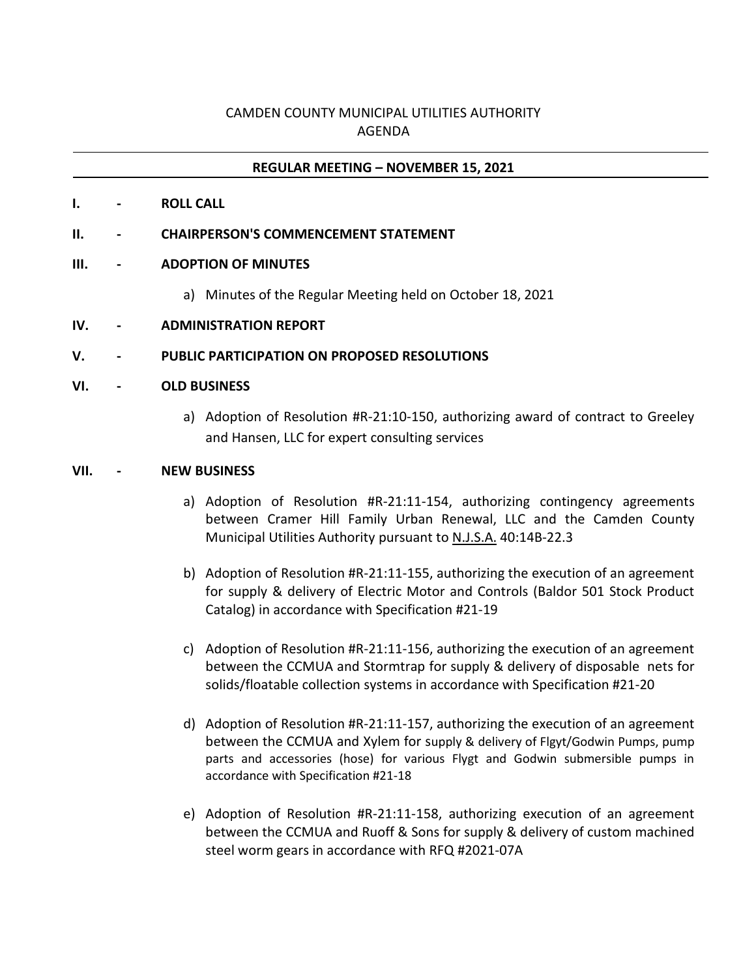# CAMDEN COUNTY MUNICIPAL UTILITIES AUTHORITY AGENDA

### **REGULAR MEETING – NOVEMBER 15, 2021**

**I. - ROLL CALL**

### **II. - CHAIRPERSON'S COMMENCEMENT STATEMENT**

### **III. - ADOPTION OF MINUTES**

a) Minutes of the Regular Meeting held on October 18, 2021

## **IV. - ADMINISTRATION REPORT**

### **V. - PUBLIC PARTICIPATION ON PROPOSED RESOLUTIONS**

#### **VI. - OLD BUSINESS**

a) Adoption of Resolution #R-21:10-150, authorizing award of contract to Greeley and Hansen, LLC for expert consulting services

#### **VII. - NEW BUSINESS**

- a) Adoption of Resolution #R-21:11-154, authorizing contingency agreements between Cramer Hill Family Urban Renewal, LLC and the Camden County Municipal Utilities Authority pursuant to N.J.S.A. 40:14B-22.3
- b) Adoption of Resolution #R-21:11-155, authorizing the execution of an agreement for supply & delivery of Electric Motor and Controls (Baldor 501 Stock Product Catalog) in accordance with Specification #21-19
- c) Adoption of Resolution #R-21:11-156, authorizing the execution of an agreement between the CCMUA and Stormtrap for supply & delivery of disposable nets for solids/floatable collection systems in accordance with Specification #21-20
- d) Adoption of Resolution #R-21:11-157, authorizing the execution of an agreement between the CCMUA and Xylem for supply & delivery of Flgyt/Godwin Pumps, pump parts and accessories (hose) for various Flygt and Godwin submersible pumps in accordance with Specification #21-18
- e) Adoption of Resolution #R-21:11-158, authorizing execution of an agreement between the CCMUA and Ruoff & Sons for supply & delivery of custom machined steel worm gears in accordance with RFQ #2021-07A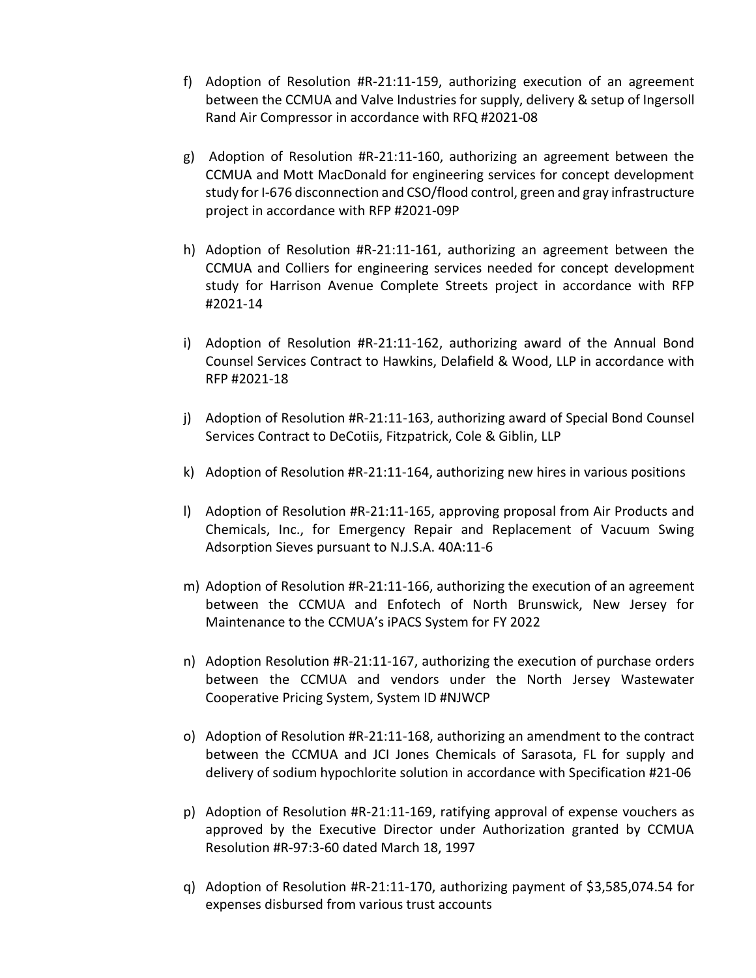- f) Adoption of Resolution #R-21:11-159, authorizing execution of an agreement between the CCMUA and Valve Industries for supply, delivery & setup of Ingersoll Rand Air Compressor in accordance with RFQ #2021-08
- g) Adoption of Resolution #R-21:11-160, authorizing an agreement between the CCMUA and Mott MacDonald for engineering services for concept development study for I-676 disconnection and CSO/flood control, green and gray infrastructure project in accordance with RFP #2021-09P
- h) Adoption of Resolution #R-21:11-161, authorizing an agreement between the CCMUA and Colliers for engineering services needed for concept development study for Harrison Avenue Complete Streets project in accordance with RFP #2021-14
- i) Adoption of Resolution #R-21:11-162, authorizing award of the Annual Bond Counsel Services Contract to Hawkins, Delafield & Wood, LLP in accordance with RFP #2021-18
- j) Adoption of Resolution #R-21:11-163, authorizing award of Special Bond Counsel Services Contract to DeCotiis, Fitzpatrick, Cole & Giblin, LLP
- k) Adoption of Resolution #R-21:11-164, authorizing new hires in various positions
- l) Adoption of Resolution #R-21:11-165, approving proposal from Air Products and Chemicals, Inc., for Emergency Repair and Replacement of Vacuum Swing Adsorption Sieves pursuant to N.J.S.A. 40A:11-6
- m) Adoption of Resolution #R-21:11-166, authorizing the execution of an agreement between the CCMUA and Enfotech of North Brunswick, New Jersey for Maintenance to the CCMUA's iPACS System for FY 2022
- n) Adoption Resolution #R-21:11-167, authorizing the execution of purchase orders between the CCMUA and vendors under the North Jersey Wastewater Cooperative Pricing System, System ID #NJWCP
- o) Adoption of Resolution #R-21:11-168, authorizing an amendment to the contract between the CCMUA and JCI Jones Chemicals of Sarasota, FL for supply and delivery of sodium hypochlorite solution in accordance with Specification #21-06
- p) Adoption of Resolution #R-21:11-169, ratifying approval of expense vouchers as approved by the Executive Director under Authorization granted by CCMUA Resolution #R-97:3-60 dated March 18, 1997
- q) Adoption of Resolution #R-21:11-170, authorizing payment of \$3,585,074.54 for expenses disbursed from various trust accounts